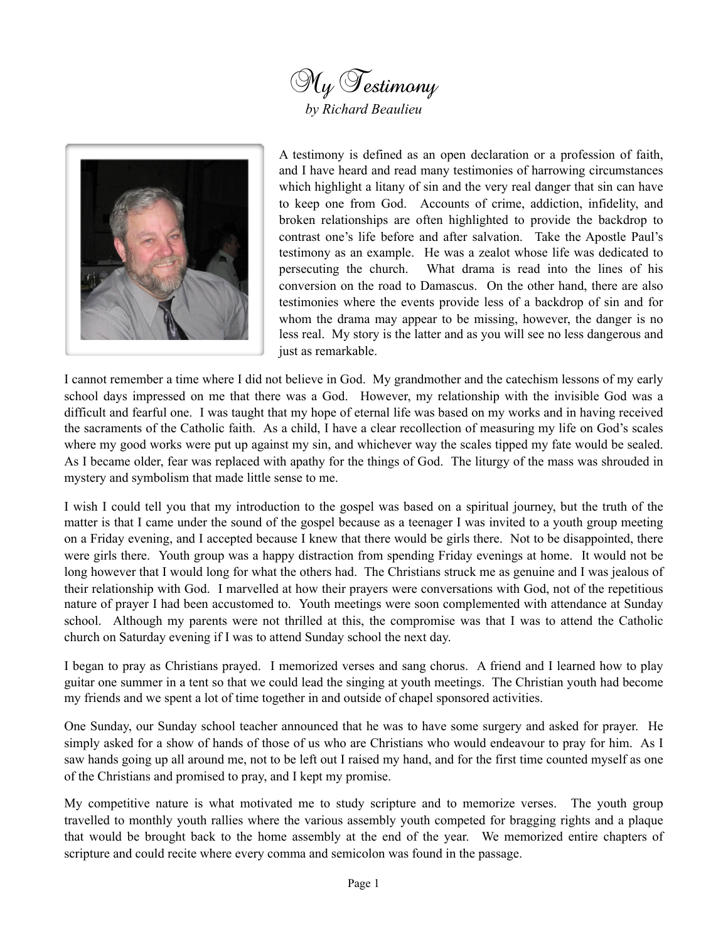



A testimony is defined as an open declaration or a profession of faith, and I have heard and read many testimonies of harrowing circumstances which highlight a litany of sin and the very real danger that sin can have to keep one from God. Accounts of crime, addiction, infidelity, and broken relationships are often highlighted to provide the backdrop to contrast one's life before and after salvation. Take the Apostle Paul's testimony as an example. He was a zealot whose life was dedicated to persecuting the church. What drama is read into the lines of his conversion on the road to Damascus. On the other hand, there are also testimonies where the events provide less of a backdrop of sin and for whom the drama may appear to be missing, however, the danger is no less real. My story is the latter and as you will see no less dangerous and just as remarkable.

I cannot remember a time where I did not believe in God. My grandmother and the catechism lessons of my early school days impressed on me that there was a God. However, my relationship with the invisible God was a difficult and fearful one. I was taught that my hope of eternal life was based on my works and in having received the sacraments of the Catholic faith. As a child, I have a clear recollection of measuring my life on God's scales where my good works were put up against my sin, and whichever way the scales tipped my fate would be sealed. As I became older, fear was replaced with apathy for the things of God. The liturgy of the mass was shrouded in mystery and symbolism that made little sense to me.

I wish I could tell you that my introduction to the gospel was based on a spiritual journey, but the truth of the matter is that I came under the sound of the gospel because as a teenager I was invited to a youth group meeting on a Friday evening, and I accepted because I knew that there would be girls there. Not to be disappointed, there were girls there. Youth group was a happy distraction from spending Friday evenings at home. It would not be long however that I would long for what the others had. The Christians struck me as genuine and I was jealous of their relationship with God. I marvelled at how their prayers were conversations with God, not of the repetitious nature of prayer I had been accustomed to. Youth meetings were soon complemented with attendance at Sunday school. Although my parents were not thrilled at this, the compromise was that I was to attend the Catholic church on Saturday evening if I was to attend Sunday school the next day.

I began to pray as Christians prayed. I memorized verses and sang chorus. A friend and I learned how to play guitar one summer in a tent so that we could lead the singing at youth meetings. The Christian youth had become my friends and we spent a lot of time together in and outside of chapel sponsored activities.

One Sunday, our Sunday school teacher announced that he was to have some surgery and asked for prayer. He simply asked for a show of hands of those of us who are Christians who would endeavour to pray for him. As I saw hands going up all around me, not to be left out I raised my hand, and for the first time counted myself as one of the Christians and promised to pray, and I kept my promise.

My competitive nature is what motivated me to study scripture and to memorize verses. The youth group travelled to monthly youth rallies where the various assembly youth competed for bragging rights and a plaque that would be brought back to the home assembly at the end of the year. We memorized entire chapters of scripture and could recite where every comma and semicolon was found in the passage.